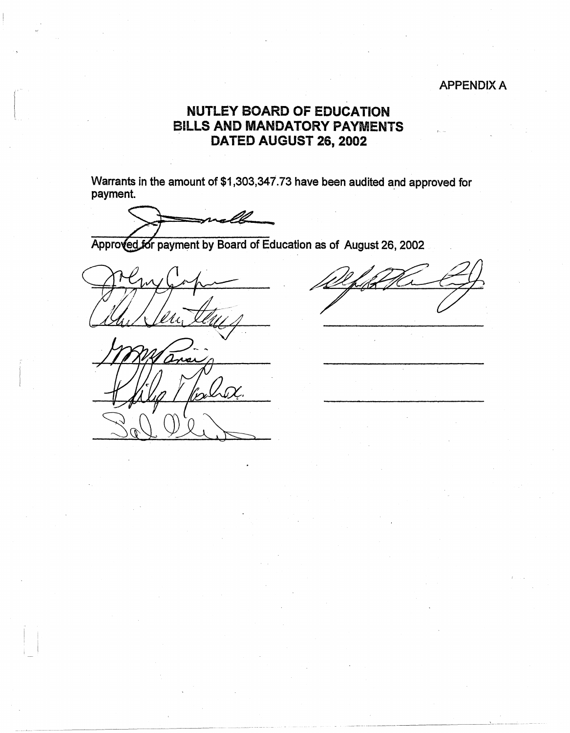### APPENDIX A

## **NUTLEY BOARD OF EDUCATION BILLS AND MANDATORY PAYMENTS DA TED AUGUST 26, 2002**

Warrants in the amount of \$1,303,347.73 have been audited and approved for payment.

Approved for payment by Board of Education as of August 26, 2002

 $\vert \cdot \vert$  $\mathbf{I}$  is the  $\mathbf{I}$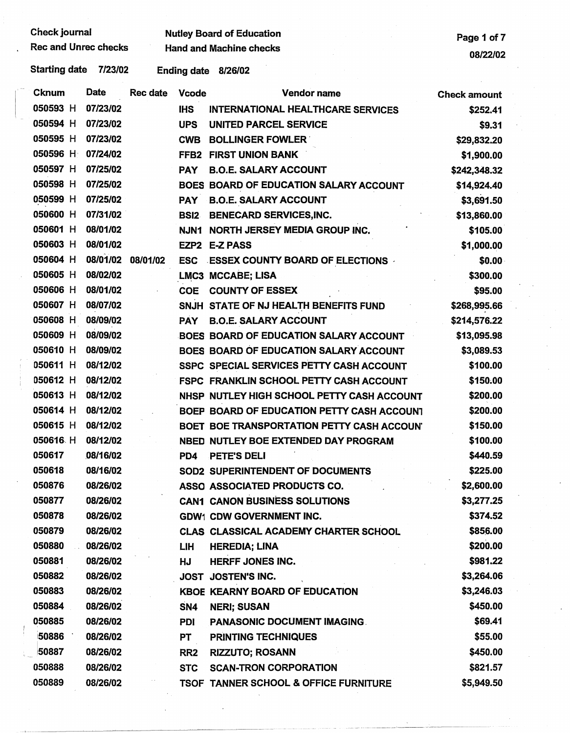$\mathbf{I}$ 

# Check journal **Nutley Board of Education**<br>Rec and Unrec checks Hand and Machine checks **Page 1 of 7**

Rec and Machine checks **Hand and Machine checks Accord 2012** 10:00 12:00 12:00 12:00 12:00 12:00 12:00 12:00 12:00 12:00 12:00 12:00 12:00 12:00 12:00 12:00 12:00 12:00 12:00 12:00 12:00 12:00 12:00 12:00 12:00 12:00 12:

| <b>Cknum</b> | Date     | Rec date | <b>Vcode</b>     | <b>Vendor name</b>                            | <b>Check amount</b> |
|--------------|----------|----------|------------------|-----------------------------------------------|---------------------|
| 050593 H     | 07/23/02 |          | <b>IHS</b>       | INTERNATIONAL HEALTHCARE SERVICES             | \$252.41            |
| 050594 H     | 07/23/02 |          | <b>UPS</b>       | <b>UNITED PARCEL SERVICE</b>                  | \$9.31              |
| 050595 H     | 07/23/02 |          | <b>CWB</b>       | <b>BOLLINGER FOWLER</b>                       | \$29,832.20         |
| 050596 H     | 07/24/02 |          | FFB <sub>2</sub> | <b>FIRST UNION BANK</b>                       | \$1,900.00          |
| 050597 H     | 07/25/02 |          | <b>PAY</b>       | <b>B.O.E. SALARY ACCOUNT</b>                  | \$242,348.32        |
| 050598 H     | 07/25/02 |          |                  | <b>BOES BOARD OF EDUCATION SALARY ACCOUNT</b> | \$14,924.40         |
| 050599 H     | 07/25/02 |          | <b>PAY</b>       | <b>B.O.E. SALARY ACCOUNT</b>                  | \$3,691.50          |
| 050600 H     | 07/31/02 |          | <b>BSI2</b>      | <b>BENECARD SERVICES, INC.</b>                | \$13,860.00         |
| 050601 H     | 08/01/02 |          | <b>NJN1</b>      | <b>NORTH JERSEY MEDIA GROUP INC.</b>          | \$105.00            |
| 050603 H     | 08/01/02 |          | EZP2             | <b>E-Z PASS</b>                               | \$1,000.00          |
| 050604 H     | 08/01/02 | 08/01/02 | <b>ESC</b>       | <b>ESSEX COUNTY BOARD OF ELECTIONS</b>        | \$0.00              |
| 050605 H     | 08/02/02 |          |                  | <b>LMC3 MCCABE; LISA</b>                      | \$300.00            |
| 050606 H     | 08/01/02 |          | <b>COE</b>       | <b>COUNTY OF ESSEX</b>                        | \$95.00             |
| 050607 H     | 08/07/02 |          |                  | SNJH STATE OF NJ HEALTH BENEFITS FUND         | \$268,995.66        |
| 050608 H     | 08/09/02 |          | <b>PAY</b>       | <b>B.O.E. SALARY ACCOUNT</b>                  | \$214,576.22        |
| 050609 H     | 08/09/02 |          |                  | BOES BOARD OF EDUCATION SALARY ACCOUNT        | \$13,095.98         |
| 050610 H     | 08/09/02 |          |                  | BOES BOARD OF EDUCATION SALARY ACCOUNT        | \$3,089.53          |
| 050611 H     | 08/12/02 |          |                  | SSPC SPECIAL SERVICES PETTY CASH ACCOUNT      | \$100.00            |
| 050612 H     | 08/12/02 |          |                  | FSPC FRANKLIN SCHOOL PETTY CASH ACCOUNT       | \$150.00            |
| 050613 H     | 08/12/02 |          |                  | NHSP NUTLEY HIGH SCHOOL PETTY CASH ACCOUNT    | \$200.00            |
| 050614 H     | 08/12/02 |          |                  | BOEP BOARD OF EDUCATION PETTY CASH ACCOUNT    | \$200.00            |
| 050615 H     | 08/12/02 |          |                  | BOET BOE TRANSPORTATION PETTY CASH ACCOUN'    | \$150.00            |
| 050616 H     | 08/12/02 |          |                  | NBED NUTLEY BOE EXTENDED DAY PROGRAM          | \$100.00            |
| 050617       | 08/16/02 |          | PD4              | PETE'S DELI                                   | \$440.59            |
| 050618       | 08/16/02 |          |                  | SOD2 SUPERINTENDENT OF DOCUMENTS              | \$225.00            |
| 050876       | 08/26/02 |          |                  | ASSO ASSOCIATED PRODUCTS CO.                  | \$2,600.00          |
| 050877       | 08/26/02 |          |                  | <b>CAN1 CANON BUSINESS SOLUTIONS</b>          | \$3,277.25          |
| 050878       | 08/26/02 |          |                  | <b>GDW1 CDW GOVERNMENT INC.</b>               | \$374.52            |
| 050879       | 08/26/02 |          |                  | <b>CLAS CLASSICAL ACADEMY CHARTER SCHOOL</b>  | \$856.00            |
| 050880       | 08/26/02 |          | LIH              | <b>HEREDIA; LINA</b>                          | \$200.00            |
| 050881       | 08/26/02 |          | HJ               | HERFF JONES INC.                              | \$981.22            |
| 050882       | 08/26/02 |          |                  | JOST JOSTEN'S INC.                            | \$3,264.06          |
| 050883       | 08/26/02 |          |                  | <b>KBOE KEARNY BOARD OF EDUCATION</b>         | \$3,246.03          |
| 050884       | 08/26/02 |          | SN4              | <b>NERI; SUSAN</b>                            | \$450.00            |
| 050885       | 08/26/02 |          | PDI              | <b>PANASONIC DOCUMENT IMAGING.</b>            | \$69.41             |
| 50886        | 08/26/02 |          | PT               | <b>PRINTING TECHNIQUES</b>                    | \$55.00             |
| 50887        | 08/26/02 |          | RR <sub>2</sub>  | <b>RIZZUTO; ROSANN</b>                        | \$450.00            |
| 050888       | 08/26/02 |          | <b>STC</b>       | <b>SCAN-TRON CORPORATION</b>                  | \$821.57            |
| 050889       | 08/26/02 |          |                  | TSOF TANNER SCHOOL & OFFICE FURNITURE         | \$5,949.50          |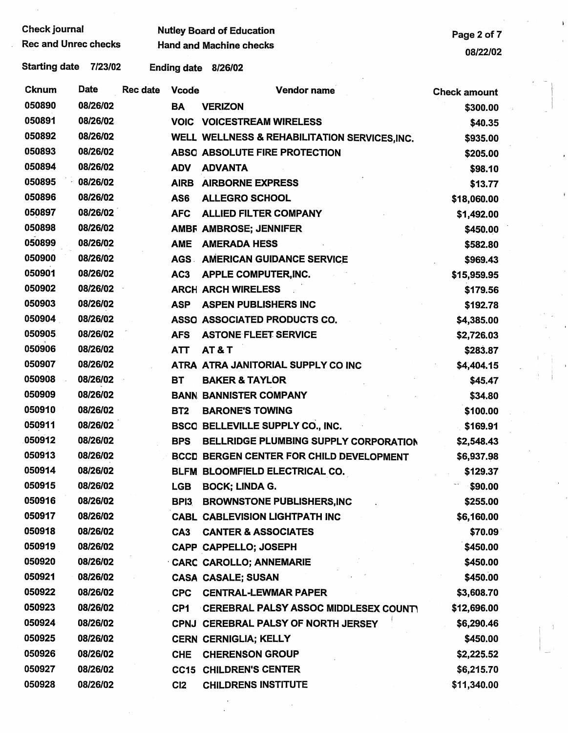| Check journal        | <b>Nutley Board of Education</b> | Page 2 of 7 |
|----------------------|----------------------------------|-------------|
| Rec and Unrec checks | <b>Hand and Machine checks</b>   | $-0.0000$   |

I

| <b>Cknum</b> | Date     | <b>Rec date</b> | <b>Vcode</b>    | <b>Vendor name</b>                              | <b>Check amount</b> |  |
|--------------|----------|-----------------|-----------------|-------------------------------------------------|---------------------|--|
| 050890       | 08/26/02 |                 | <b>BA</b>       | <b>VERIZON</b>                                  | \$300.00            |  |
| 050891       | 08/26/02 |                 |                 | <b>VOIC VOICESTREAM WIRELESS</b>                | \$40.35             |  |
| 050892       | 08/26/02 |                 |                 | WELL WELLNESS & REHABILITATION SERVICES.INC.    | \$935.00            |  |
| 050893       | 08/26/02 |                 |                 | ABSO ABSOLUTE FIRE PROTECTION                   | \$205.00            |  |
| 050894       | 08/26/02 |                 | <b>ADV</b>      | <b>ADVANTA</b>                                  | \$98.10             |  |
| 050895       | 08/26/02 |                 | <b>AIRB</b>     | <b>AIRBORNE EXPRESS</b>                         | \$13.77             |  |
| 050896       | 08/26/02 |                 | AS6             | <b>ALLEGRO SCHOOL</b>                           | \$18,060.00         |  |
| 050897       | 08/26/02 |                 | <b>AFC</b>      | <b>ALLIED FILTER COMPANY</b>                    | \$1,492.00          |  |
| 050898       | 08/26/02 |                 |                 | AMBF AMBROSE; JENNIFER                          | \$450.00            |  |
| 050899       | 08/26/02 |                 | <b>AME</b>      | <b>AMERADA HESS</b>                             | \$582.80            |  |
| 050900       | 08/26/02 |                 |                 | <b>AGS AMERICAN GUIDANCE SERVICE</b>            | \$969.43            |  |
| 050901       | 08/26/02 |                 | AC <sub>3</sub> | APPLE COMPUTER, INC.                            | \$15,959.95         |  |
| 050902       | 08/26/02 |                 |                 | <b>ARCH ARCH WIRELESS</b>                       | \$179.56            |  |
| 050903       | 08/26/02 |                 | <b>ASP</b>      | <b>ASPEN PUBLISHERS INC</b>                     | \$192.78            |  |
| 050904       | 08/26/02 |                 |                 | ASSO ASSOCIATED PRODUCTS CO.                    | \$4,385.00          |  |
| 050905       | 08/26/02 |                 | <b>AFS</b>      | <b>ASTONE FLEET SERVICE</b>                     | \$2,726.03          |  |
| 050906       | 08/26/02 |                 | <b>ATT</b>      | <b>AT&amp;T</b>                                 | \$283.87            |  |
| 050907       | 08/26/02 |                 |                 | ATRA ATRA JANITORIAL SUPPLY CO INC              | \$4,404.15          |  |
| 050908       | 08/26/02 |                 | <b>BT</b>       | <b>BAKER &amp; TAYLOR</b>                       | \$45.47             |  |
| 050909       | 08/26/02 |                 |                 | <b>BANN BANNISTER COMPANY</b>                   | \$34.80             |  |
| 050910       | 08/26/02 |                 | BT <sub>2</sub> | <b>BARONE'S TOWING</b>                          | \$100.00            |  |
| 050911       | 08/26/02 |                 |                 | BSCO BELLEVILLE SUPPLY CO., INC.                | \$169.91            |  |
| 050912       | 08/26/02 |                 | <b>BPS</b>      | BELLRIDGE PLUMBING SUPPLY CORPORATION           | \$2,548.43          |  |
| 050913       | 08/26/02 |                 |                 | <b>BCCD BERGEN CENTER FOR CHILD DEVELOPMENT</b> | \$6,937.98          |  |
| 050914       | 08/26/02 |                 |                 | BLFM BLOOMFIELD ELECTRICAL CO.                  | \$129.37            |  |
| 050915       | 08/26/02 |                 | <b>LGB</b>      | <b>BOCK; LINDA G.</b>                           | \$90.00             |  |
| 050916       | 08/26/02 |                 | BPI3            | <b>BROWNSTONE PUBLISHERS, INC</b>               | \$255.00            |  |
| 050917       | 08/26/02 |                 |                 | <b>CABL CABLEVISION LIGHTPATH INC</b>           | \$6,160.00          |  |
| 050918       | 08/26/02 |                 | CA <sub>3</sub> | <b>CANTER &amp; ASSOCIATES</b>                  | \$70.09             |  |
| 050919       | 08/26/02 |                 |                 | CAPP CAPPELLO; JOSEPH                           | \$450.00            |  |
| 050920       | 08/26/02 |                 |                 | <b>CARC CAROLLO; ANNEMARIE</b>                  | \$450.00            |  |
| 050921       | 08/26/02 |                 |                 | <b>CASA CASALE; SUSAN</b>                       | \$450.00            |  |
| 050922       | 08/26/02 |                 | <b>CPC</b>      | <b>CENTRAL-LEWMAR PAPER</b>                     | \$3,608.70          |  |
| 050923       | 08/26/02 |                 | CP <sub>1</sub> | CEREBRAL PALSY ASSOC MIDDLESEX COUNTY           | \$12,696.00         |  |
| 050924       | 08/26/02 |                 |                 | CPNJ CEREBRAL PALSY OF NORTH JERSEY             | \$6,290.46          |  |
| 050925       | 08/26/02 |                 |                 | <b>CERN CERNIGLIA; KELLY</b>                    | \$450.00            |  |
| 050926       | 08/26/02 |                 | <b>CHE</b>      | <b>CHERENSON GROUP</b>                          | \$2,225.52          |  |
| 050927       | 08/26/02 |                 |                 | <b>CC15 CHILDREN'S CENTER</b>                   | \$6,215.70          |  |
| 050928       | 08/26/02 |                 | C <sub>12</sub> | <b>CHILDRENS INSTITUTE</b>                      | \$11,340.00         |  |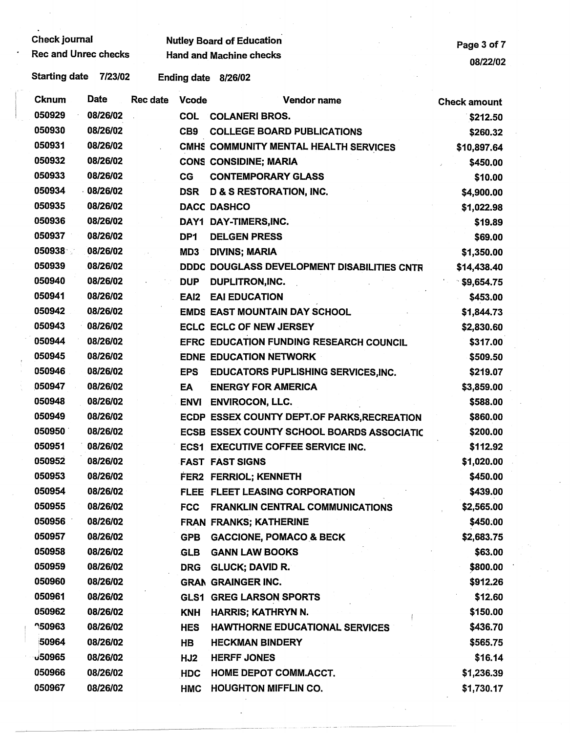Check journal **Check in the Check in the Check of Education**<br>Rec and Unrec checks **Page 3 of 7**<br>Page 3 of 7 **Hand and Machine checks** 

08/22/02

 $\ddot{\phantom{1}}$ 

| Cknum         | Date     | Rec date | <b>Vcode</b>     | <b>Vendor name</b>                                | <b>Check amount</b> |
|---------------|----------|----------|------------------|---------------------------------------------------|---------------------|
| 050929        | 08/26/02 |          | <b>COL</b>       | <b>COLANERI BROS.</b>                             | \$212.50            |
| 050930        | 08/26/02 |          | CB9              | <b>COLLEGE BOARD PUBLICATIONS</b>                 | \$260.32            |
| 050931        | 08/26/02 |          |                  | CMHS COMMUNITY MENTAL HEALTH SERVICES             | \$10,897.64         |
| 050932        | 08/26/02 |          |                  | <b>CONS CONSIDINE; MARIA</b>                      | \$450.00            |
| 050933        | 08/26/02 |          | CG               | <b>CONTEMPORARY GLASS</b>                         | \$10.00             |
| 050934        | 08/26/02 |          | <b>DSR</b>       | <b>D &amp; S RESTORATION, INC.</b>                | \$4,900.00          |
| 050935        | 08/26/02 |          |                  | <b>DACC DASHCO</b>                                | \$1,022.98          |
| 050936        | 08/26/02 |          |                  | DAY1 DAY-TIMERS, INC.                             | \$19.89             |
| 050937        | 08/26/02 |          | DP <sub>1</sub>  | <b>DELGEN PRESS</b>                               | \$69.00             |
| 050938        | 08/26/02 |          | MD3              | <b>DIVINS; MARIA</b>                              | \$1,350.00          |
| 050939        | 08/26/02 |          |                  | DDDC DOUGLASS DEVELOPMENT DISABILITIES CNTR       | \$14,438.40         |
| 050940        | 08/26/02 |          | <b>DUP</b>       | <b>DUPLITRON, INC.</b>                            | \$9,654.75          |
| 050941        | 08/26/02 |          | EAI <sub>2</sub> | <b>EAI EDUCATION</b>                              | \$453.00            |
| 050942        | 08/26/02 |          |                  | <b>EMDS EAST MOUNTAIN DAY SCHOOL</b>              | \$1,844.73          |
| 050943        | 08/26/02 |          |                  | <b>ECLC ECLC OF NEW JERSEY</b>                    | \$2,830.60          |
| 050944        | 08/26/02 |          |                  | EFRC EDUCATION FUNDING RESEARCH COUNCIL           | \$317.00            |
| 050945        | 08/26/02 |          |                  | <b>EDNE EDUCATION NETWORK</b>                     | \$509.50            |
| 050946        | 08/26/02 |          | <b>EPS</b>       | <b>EDUCATORS PUPLISHING SERVICES, INC.</b>        | \$219.07            |
| 050947        | 08/26/02 |          | EA               | <b>ENERGY FOR AMERICA</b>                         | \$3,859.00          |
| 050948        | 08/26/02 |          | <b>ENVI</b>      | <b>ENVIROCON, LLC.</b>                            | \$588.00            |
| 050949        | 08/26/02 |          |                  | ECDP ESSEX COUNTY DEPT.OF PARKS, RECREATION       | \$860.00            |
| 050950        | 08/26/02 |          |                  | <b>ECSB ESSEX COUNTY SCHOOL BOARDS ASSOCIATIC</b> | \$200.00            |
| 050951        | 08/26/02 |          |                  | <b>ECS1 EXECUTIVE COFFEE SERVICE INC.</b>         | \$112.92            |
| 050952        | 08/26/02 |          |                  | <b>FAST FAST SIGNS</b>                            | \$1,020.00          |
| 050953        | 08/26/02 |          |                  | FER2 FERRIOL; KENNETH                             | \$450.00            |
| 050954        | 08/26/02 |          |                  | FLEE FLEET LEASING CORPORATION                    | \$439.00            |
| 050955        | 08/26/02 |          | <b>FCC</b>       | <b>FRANKLIN CENTRAL COMMUNICATIONS</b>            | \$2,565.00          |
| 050956        | 08/26/02 |          |                  | <b>FRAN FRANKS; KATHERINE</b>                     | \$450.00            |
| 050957        | 08/26/02 |          | <b>GPB</b>       | <b>GACCIONE, POMACO &amp; BECK</b>                | \$2,683.75          |
| 050958        | 08/26/02 |          | <b>GLB</b>       | <b>GANN LAW BOOKS</b>                             | \$63.00             |
| 050959        | 08/26/02 |          | <b>DRG</b>       | <b>GLUCK; DAVID R.</b>                            | \$800.00            |
| 050960        | 08/26/02 |          |                  | <b>GRAN GRAINGER INC.</b>                         | \$912.26            |
| 050961        | 08/26/02 |          |                  | <b>GLS1 GREG LARSON SPORTS</b>                    | \$12.60             |
| 050962        | 08/26/02 |          | <b>KNH</b>       | HARRIS; KATHRYN N.                                | \$150.00            |
| <b>150963</b> | 08/26/02 |          | <b>HES</b>       | <b>HAWTHORNE EDUCATIONAL SERVICES</b>             | \$436.70            |
| 50964         | 08/26/02 |          | HB               | <b>HECKMAN BINDERY</b>                            | \$565.75            |
| <b>J50965</b> | 08/26/02 |          | HJ2              | <b>HERFF JONES</b>                                | \$16.14             |
| 050966        | 08/26/02 |          | <b>HDC</b>       | <b>HOME DEPOT COMM.ACCT.</b>                      | \$1,236.39          |
| 050967        | 08/26/02 |          | <b>HMC</b>       | <b>HOUGHTON MIFFLIN CO.</b>                       | \$1,730.17          |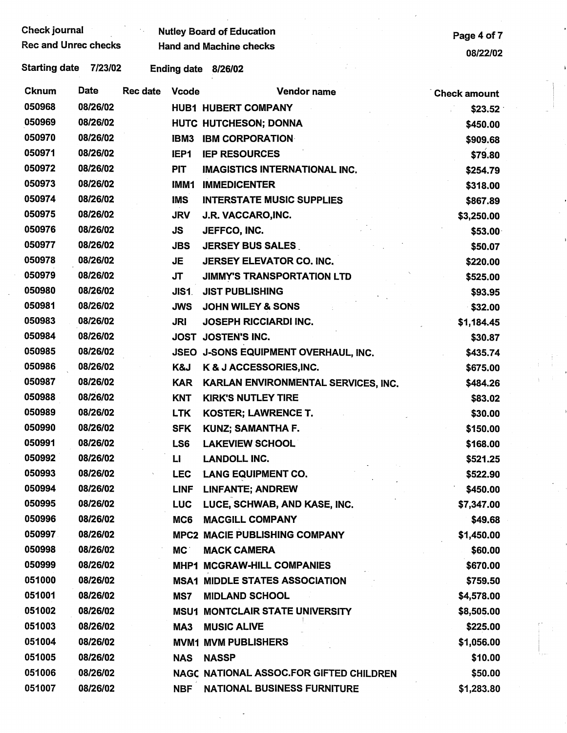| Check journal<br><b>Rec and Unrec checks</b> |          |          |                    | <b>Nutley Board of Education</b><br><b>Hand and Machine checks</b> | Page 4 of 7         |
|----------------------------------------------|----------|----------|--------------------|--------------------------------------------------------------------|---------------------|
|                                              |          |          |                    |                                                                    | 08/22/02            |
| <b>Starting date</b>                         | 7/23/02  |          | <b>Ending date</b> | 8/26/02                                                            |                     |
| <b>Cknum</b>                                 | Date     | Rec date | <b>Vcode</b>       | Vendor name                                                        | <b>Check amount</b> |
| 050968                                       | 08/26/02 |          |                    | <b>HUB1 HUBERT COMPANY</b>                                         | \$23.52             |
| 050969                                       | 08/26/02 |          |                    | HUTC HUTCHESON; DONNA                                              | \$450.00            |
| 050970                                       | 08/26/02 |          | IBM3               | <b>IBM CORPORATION</b>                                             | \$909.68            |
| 050971                                       | 08/26/02 |          | IEP1               | <b>IEP RESOURCES</b>                                               | \$79.80             |
| 050972                                       | 08/26/02 |          | <b>PIT</b>         | <b>IMAGISTICS INTERNATIONAL INC.</b>                               | \$254.79            |
| 050973                                       | 08/26/02 |          | IMM1               | <b>IMMEDICENTER</b>                                                | \$318.00            |
| 050974                                       | 08/26/02 |          | <b>IMS</b>         | <b>INTERSTATE MUSIC SUPPLIES</b>                                   | \$867.89            |
| 050975                                       | 08/26/02 |          | <b>JRV</b>         | J.R. VACCARO, INC.                                                 | \$3,250.00          |
| 050976                                       | 08/26/02 |          | <b>JS</b>          | JEFFCO, INC.                                                       | \$53.00             |
| 050977                                       | 08/26/02 |          | <b>JBS</b>         | <b>JERSEY BUS SALES</b>                                            | \$50.07             |
| 050978                                       | 08/26/02 |          | <b>JE</b>          | <b>JERSEY ELEVATOR CO. INC.</b>                                    | \$220.00            |
| 050979                                       | 08/26/02 |          | <b>JT</b>          | <b>JIMMY'S TRANSPORTATION LTD</b>                                  | \$525.00            |
| 050980                                       | 08/26/02 |          | JIS1.              | <b>JIST PUBLISHING</b>                                             | \$93.95             |
| 050981                                       | 08/26/02 |          | <b>JWS</b>         | <b>JOHN WILEY &amp; SONS</b>                                       | \$32.00             |
| 050983                                       | 08/26/02 |          | <b>JRI</b>         | <b>JOSEPH RICCIARDI INC.</b>                                       | \$1,184.45          |
| 050984                                       | 08/26/02 |          |                    | JOST JOSTEN'S INC.                                                 | \$30.87             |
| 050985                                       | 08/26/02 |          |                    | JSEO J-SONS EQUIPMENT OVERHAUL, INC.                               | \$435.74            |
| 050986                                       | 08/26/02 |          | K&J                | K & J ACCESSORIES, INC.                                            | \$675.00            |
| 050987                                       | 08/26/02 |          | <b>KAR</b>         | KARLAN ENVIRONMENTAL SERVICES, INC.                                | \$484.26            |
| 050988                                       | 08/26/02 |          | <b>KNT</b>         | <b>KIRK'S NUTLEY TIRE</b>                                          | \$83.02             |
| 050989                                       | 08/26/02 |          | <b>LTK</b>         | <b>KOSTER; LAWRENCE T.</b>                                         | \$30.00             |
| 050990                                       | 08/26/02 |          | <b>SFK</b>         | <b>KUNZ; SAMANTHA F.</b>                                           | \$150.00            |
| 050991                                       | 08/26/02 |          | LS6                | <b>LAKEVIEW SCHOOL</b>                                             | \$168.00            |
| 050992                                       | 08/26/02 |          | П                  | <b>LANDOLL INC.</b>                                                | \$521.25            |
| 050993                                       | 08/26/02 |          | <b>LEC</b>         | <b>LANG EQUIPMENT CO.</b>                                          | \$522.90            |
| 050994                                       | 08/26/02 |          | LINF               | <b>LINFANTE; ANDREW</b>                                            | \$450.00            |
| 050995                                       | 08/26/02 |          | <b>LUC</b>         | LUCE, SCHWAB, AND KASE, INC.                                       | \$7,347.00          |
| 050996                                       | 08/26/02 |          | MC6                | <b>MACGILL COMPANY</b>                                             | \$49.68             |
| 050997                                       | 08/26/02 |          |                    | <b>MPC2 MACIE PUBLISHING COMPANY</b>                               | \$1,450.00          |
| 050998                                       | 08/26/02 |          | MC.                | <b>MACK CAMERA</b>                                                 | \$60.00             |
| 050999                                       | 08/26/02 |          |                    | <b>MHP1 MCGRAW-HILL COMPANIES</b>                                  | \$670.00            |
| 051000                                       | 08/26/02 |          |                    | <b>MSA1 MIDDLE STATES ASSOCIATION</b>                              | \$759.50            |
| 051001                                       | 08/26/02 |          | MS7                | <b>MIDLAND SCHOOL</b>                                              | \$4,578.00          |
| 051002                                       | 08/26/02 |          |                    | <b>MSU1 MONTCLAIR STATE UNIVERSITY</b>                             | \$8,505.00          |
| 051003                                       | 08/26/02 |          | MA3                | <b>MUSIC ALIVE</b>                                                 | \$225.00            |
| 051004                                       | 08/26/02 |          |                    | <b>MVM1 MVM PUBLISHERS</b>                                         | \$1,056.00          |
| 051005                                       | 08/26/02 |          | <b>NAS</b>         | <b>NASSP</b>                                                       | \$10.00             |
| 051006                                       | 08/26/02 |          |                    | NAGC NATIONAL ASSOC.FOR GIFTED CHILDREN                            | \$50.00             |
| 051007                                       | 08/26/02 |          | <b>NBF</b>         | <b>NATIONAL BUSINESS FURNITURE</b>                                 | \$1,283.80          |

 $\sim$ 

 $\frac{1}{\sqrt{2}}$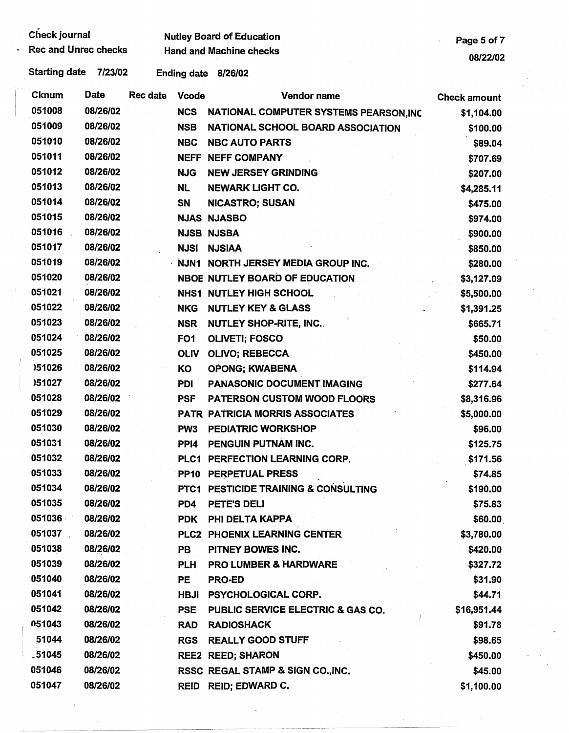| Check journal               |          |                 | <b>Nutley Board of Education</b> | Page 5 of 7                            |                     |
|-----------------------------|----------|-----------------|----------------------------------|----------------------------------------|---------------------|
| <b>Rec and Unrec checks</b> |          |                 | <b>Hand and Machine checks</b>   |                                        | 08/22/02            |
| <b>Starting date</b>        | 7/23/02  |                 |                                  | Ending date 8/26/02                    |                     |
| Cknum                       | Date     | <b>Rec date</b> | <b>Vcode</b>                     | <b>Vendor name</b>                     | <b>Check amount</b> |
| 051008                      | 08/26/02 |                 | <b>NCS</b>                       | NATIONAL COMPUTER SYSTEMS PEARSON, INC | \$1,104.00          |
| 051009                      | 08/26/02 |                 | <b>NSB</b>                       | NATIONAL SCHOOL BOARD ASSOCIATION      | \$100.00            |
| 051010                      | 08/26/02 |                 | <b>NBC</b>                       | <b>NBC AUTO PARTS</b>                  | \$89.04             |
| 051011                      | 08/26/02 |                 |                                  | <b>NEFF NEFF COMPANY</b>               | \$707.69            |
| 051012                      | 08/26/02 |                 | <b>NJG</b>                       | <b>NEW JERSEY GRINDING</b>             | \$207.00            |
| 051013                      | 08/26/02 |                 | <b>NL</b>                        | <b>NEWARK LIGHT CO.</b>                | \$4,285.11          |
| 051014                      | 08/26/02 |                 | <b>SN</b>                        | <b>NICASTRO; SUSAN</b>                 | \$475.00            |
| 051015                      | 08/26/02 |                 |                                  | <b>NJAS NJASBO</b>                     | \$974.00            |
| 051016                      | 08/26/02 |                 |                                  | <b>NJSB NJSBA</b>                      | \$900.00            |
| 051017                      | 08/26/02 |                 | <b>NJSI</b>                      | <b>NJSIAA</b>                          | \$850.00            |
| 051019                      | 08/26/02 |                 | <b>NJN1</b>                      | <b>NORTH JERSEY MEDIA GROUP INC.</b>   | \$280.00            |
| 051020                      | 08/26/02 |                 |                                  | <b>NBOE NUTLEY BOARD OF EDUCATION</b>  | \$3,127.09          |
| 051021                      | 08/26/02 |                 |                                  | <b>NHS1 NUTLEY HIGH SCHOOL</b>         | \$5,500.00          |
| 051022                      | 08/26/02 |                 | <b>NKG</b>                       | <b>NUTLEY KEY &amp; GLASS</b>          | \$1,391.25          |
| 051023                      | 08/26/02 |                 | <b>NSR</b>                       | <b>NUTLEY SHOP-RITE, INC.</b>          | \$665.71            |
| 051024                      | 08/26/02 |                 | FO <sub>1</sub>                  | <b>OLIVETI; FOSCO</b>                  | \$50.00             |
| 051025                      | 08/26/02 |                 | <b>OLIV</b>                      | <b>OLIVO; REBECCA</b>                  | \$450.00            |
| )51026                      | 08/26/02 |                 | ΚO                               | OPONG; KWABENA                         | \$114.94            |
| )51027                      | 08/26/02 |                 | PDI                              | <b>PANASONIC DOCUMENT IMAGING</b>      | \$277.64            |
| 051028                      | 08/26/02 |                 | <b>PSF</b>                       | <b>PATERSON CUSTOM WOOD FLOORS</b>     | \$8,316.96          |
| 051029                      | 08/26/02 |                 |                                  | <b>PATR PATRICIA MORRIS ASSOCIATES</b> | \$5,000.00          |
| 051030                      | 08/26/02 |                 | PW <sub>3</sub>                  | <b>PEDIATRIC WORKSHOP</b>              | \$96.00             |
| 051031                      | 08/26/02 |                 | PP <sub>14</sub>                 | PENGUIN PUTNAM INC.                    | \$125.75            |
| 051032                      | 08/26/02 |                 |                                  | PLC1 PERFECTION LEARNING CORP.         | \$171.56            |
| 051033                      | 08/26/02 |                 |                                  | PP10 PERPETUAL PRESS                   | \$74.85             |
| 051034                      | 08/26/02 |                 |                                  | PTC1 PESTICIDE TRAINING & CONSULTING   | \$190.00            |
| 051035                      | 08/26/02 |                 | PD4                              | PETE'S DELI                            | \$75.83             |
| 051036                      | 08/26/02 |                 | <b>PDK</b>                       | PHI DELTA KAPPA                        | \$60.00             |
| 051037                      | 08/26/02 |                 |                                  | PLC2 PHOENIX LEARNING CENTER           | \$3,780.00          |
| 051038                      | 08/26/02 |                 | <b>PB</b>                        | PITNEY BOWES INC.                      | \$420.00            |
| 051039                      | 08/26/02 |                 | <b>PLH</b>                       | <b>PRO LUMBER &amp; HARDWARE</b>       | \$327.72            |
| 051040                      | 08/26/02 |                 | <b>PE</b>                        | <b>PRO-ED</b>                          | \$31.90             |
| 051041                      | 08/26/02 |                 | <b>HBJI</b>                      | <b>PSYCHOLOGICAL CORP.</b>             | \$44.71             |
| 051042                      | 08/26/02 |                 | <b>PSE</b>                       | PUBLIC SERVICE ELECTRIC & GAS CO.      | \$16,951.44         |
| 051043                      | 08/26/02 |                 | <b>RAD</b>                       | <b>RADIOSHACK</b>                      | \$91.78             |
| 51044                       | 08/26/02 |                 | <b>RGS</b>                       | <b>REALLY GOOD STUFF</b>               | \$98.65             |
| $-51045$                    | 08/26/02 |                 |                                  | <b>REE2 REED; SHARON</b>               | \$450.00            |
| 051046                      | 08/26/02 |                 |                                  | RSSC REGAL STAMP & SIGN CO., INC.      | \$45.00             |
| 051047                      | 08/26/02 |                 |                                  | REID REID; EDWARD C.                   | \$1,100.00          |

 $\ddot{\phantom{a}}$ 

 $\bar{z}$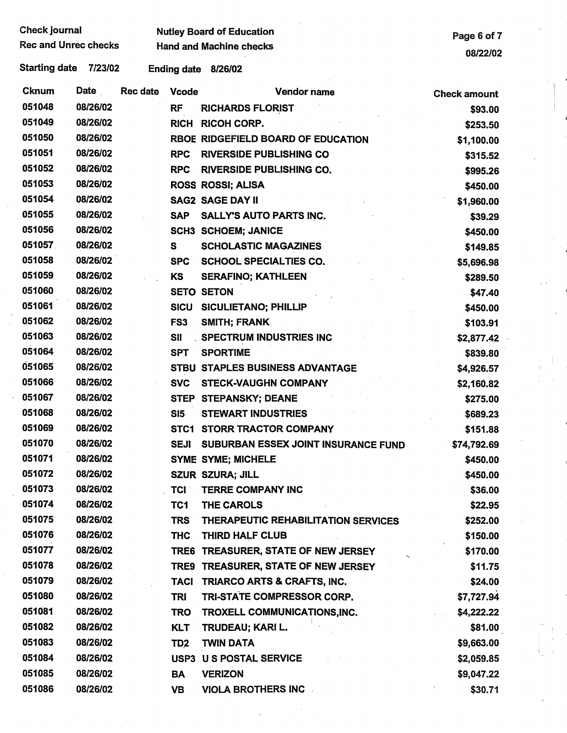| Check journal |                             |  |
|---------------|-----------------------------|--|
|               | <b>Rec and Unrec checks</b> |  |

Nutley Board of Education **Page 6 of 7 Hand and Machine checks** 

08/22/02

| <b>Cknum</b> | Date     | Rec date | <b>Vcode</b>    | Vendor name                         | <b>Check amount</b> |
|--------------|----------|----------|-----------------|-------------------------------------|---------------------|
| 051048       | 08/26/02 |          | <b>RF</b>       | <b>RICHARDS FLORIST</b>             | \$93.00             |
| 051049       | 08/26/02 |          | <b>RICH</b>     | <b>RICOH CORP.</b>                  | \$253.50            |
| 051050       | 08/26/02 |          |                 | RBOE RIDGEFIELD BOARD OF EDUCATION  | \$1,100.00          |
| 051051       | 08/26/02 |          | <b>RPC</b>      | <b>RIVERSIDE PUBLISHING CO</b>      | \$315.52            |
| 051052       | 08/26/02 |          | <b>RPC</b>      | <b>RIVERSIDE PUBLISHING CO.</b>     | \$995.26            |
| 051053       | 08/26/02 |          |                 | <b>ROSS ROSSI; ALISA</b>            | \$450.00            |
| 051054       | 08/26/02 |          |                 | <b>SAG2 SAGE DAY II</b>             | \$1,960.00          |
| 051055       | 08/26/02 |          | <b>SAP</b>      | <b>SALLY'S AUTO PARTS INC.</b>      | \$39.29             |
| 051056       | 08/26/02 |          |                 | <b>SCH3 SCHOEM; JANICE</b>          | \$450.00            |
| 051057       | 08/26/02 |          | S               | <b>SCHOLASTIC MAGAZINES</b>         | \$149.85            |
| 051058       | 08/26/02 |          | <b>SPC</b>      | <b>SCHOOL SPECIALTIES CO.</b>       | \$5,696.98          |
| 051059       | 08/26/02 |          | KS              | <b>SERAFINO; KATHLEEN</b>           | \$289.50            |
| 051060       | 08/26/02 |          |                 | <b>SETO SETON</b>                   | \$47.40             |
| 051061       | 08/26/02 |          | <b>SICU</b>     | <b>SICULIETANO; PHILLIP</b>         | \$450.00            |
| 051062       | 08/26/02 |          | FS <sub>3</sub> | <b>SMITH; FRANK</b>                 | \$103.91            |
| 051063       | 08/26/02 |          | <b>SII</b>      | <b>SPECTRUM INDUSTRIES INC</b>      | \$2,877.42          |
| 051064       | 08/26/02 |          | <b>SPT</b>      | <b>SPORTIME</b>                     | \$839.80            |
| 051065       | 08/26/02 |          |                 | STBU STAPLES BUSINESS ADVANTAGE     | \$4,926.57          |
| 051066       | 08/26/02 |          | <b>SVC</b>      | <b>STECK-VAUGHN COMPANY</b>         | \$2,160.82          |
| 051067       | 08/26/02 |          | <b>STEP</b>     | <b>STEPANSKY; DEANE</b>             | \$275.00            |
| 051068       | 08/26/02 |          | <b>SI5</b>      | <b>STEWART INDUSTRIES</b>           | \$689.23            |
| 051069       | 08/26/02 |          | STC1            | <b>STORR TRACTOR COMPANY</b>        | \$151.88            |
| 051070       | 08/26/02 |          | <b>SEJI</b>     | SUBURBAN ESSEX JOINT INSURANCE FUND | \$74,792.69         |
| 051071       | 08/26/02 |          |                 | <b>SYME SYME; MICHELE</b>           | \$450.00            |
| 051072       | 08/26/02 |          |                 | SZUR SZURA; JILL                    | \$450.00            |
| 051073       | 08/26/02 |          | <b>TCI</b>      | <b>TERRE COMPANY INC</b>            | \$36.00             |
| 051074       | 08/26/02 |          | TC1             | THE CAROLS                          | \$22.95             |
| 051075       | 08/26/02 |          | <b>TRS</b>      | THERAPEUTIC REHABILITATION SERVICES | \$252.00            |
| 051076       | 08/26/02 |          | <b>THC</b>      | THIRD HALF CLUB                     | \$150.00            |
| 051077       | 08/26/02 |          |                 | TRE6 TREASURER, STATE OF NEW JERSEY | \$170.00            |
| 051078       | 08/26/02 |          |                 | TRE9 TREASURER, STATE OF NEW JERSEY | \$11.75             |
| 051079       | 08/26/02 |          | <b>TACI</b>     | TRIARCO ARTS & CRAFTS, INC.         | \$24.00             |
| 051080       | 08/26/02 |          | <b>TRI</b>      | TRI-STATE COMPRESSOR CORP.          | \$7,727.94          |
| 051081       | 08/26/02 |          | <b>TRO</b>      | TROXELL COMMUNICATIONS, INC.        | \$4,222.22          |
| 051082       | 08/26/02 |          | <b>KLT</b>      | <b>TRUDEAU; KARI L.</b>             | \$81.00             |
| 051083       | 08/26/02 |          | TD <sub>2</sub> | <b>TWIN DATA</b>                    | \$9,663.00          |
| 051084       | 08/26/02 |          | USP3            | <b>U S POSTAL SERVICE</b>           | \$2,059.85          |
| 051085       | 08/26/02 |          | BA              | <b>VERIZON</b>                      | \$9,047.22          |
| 051086       | 08/26/02 |          | <b>VB</b>       | <b>VIOLA BROTHERS INC.</b>          | \$30.71             |